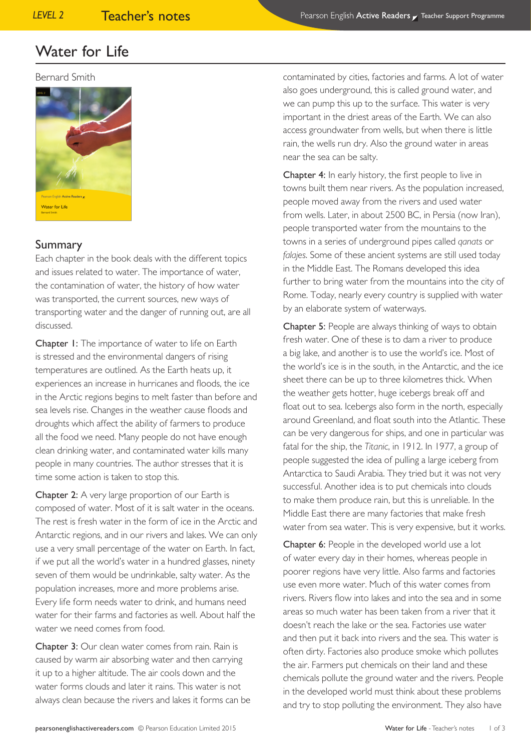#### Bernard Smith



## *level 4* Summary

Each chapter in the book deals with the different topics and issues related to water. The importance of water, the contamination of water, the history of how water was transported, the current sources, new ways of transporting water and the danger of running out, are all discussed.

Chapter 1: The importance of water to life on Earth is stressed and the environmental dangers of rising temperatures are outlined. As the Earth heats up, it experiences an increase in hurricanes and floods, the ice in the Arctic regions begins to melt faster than before and sea levels rise. Changes in the weather cause floods and droughts which affect the ability of farmers to produce all the food we need. Many people do not have enough clean drinking water, and contaminated water kills many people in many countries. The author stresses that it is time some action is taken to stop this.

Chapter 2: A very large proportion of our Earth is composed of water. Most of it is salt water in the oceans. The rest is fresh water in the form of ice in the Arctic and Antarctic regions, and in our rivers and lakes. We can only use a very small percentage of the water on Earth. In fact, if we put all the world's water in a hundred glasses, ninety seven of them would be undrinkable, salty water. As the population increases, more and more problems arise. Every life form needs water to drink, and humans need water for their farms and factories as well. About half the water we need comes from food.

Chapter 3: Our clean water comes from rain. Rain is caused by warm air absorbing water and then carrying it up to a higher altitude. The air cools down and the water forms clouds and later it rains. This water is not always clean because the rivers and lakes it forms can be contaminated by cities, factories and farms. A lot of water also goes underground, this is called ground water, and we can pump this up to the surface. This water is very important in the driest areas of the Earth. We can also access groundwater from wells, but when there is little rain, the wells run dry. Also the ground water in areas near the sea can be salty.

Chapter 4: In early history, the first people to live in towns built them near rivers. As the population increased, people moved away from the rivers and used water from wells. Later, in about 2500 BC, in Persia (now Iran), people transported water from the mountains to the towns in a series of underground pipes called *qanats* or *falajes*. Some of these ancient systems are still used today in the Middle East. The Romans developed this idea further to bring water from the mountains into the city of Rome. Today, nearly every country is supplied with water by an elaborate system of waterways.

Chapter 5: People are always thinking of ways to obtain fresh water. One of these is to dam a river to produce a big lake, and another is to use the world's ice. Most of the world's ice is in the south, in the Antarctic, and the ice sheet there can be up to three kilometres thick. When the weather gets hotter, huge icebergs break off and float out to sea. Icebergs also form in the north, especially around Greenland, and float south into the Atlantic. These can be very dangerous for ships, and one in particular was fatal for the ship, the *Titanic*, in 1912. In 1977, a group of people suggested the idea of pulling a large iceberg from Antarctica to Saudi Arabia. They tried but it was not very successful. Another idea is to put chemicals into clouds to make them produce rain, but this is unreliable. In the Middle East there are many factories that make fresh water from sea water. This is very expensive, but it works.

Chapter 6: People in the developed world use a lot of water every day in their homes, whereas people in poorer regions have very little. Also farms and factories use even more water. Much of this water comes from rivers. Rivers flow into lakes and into the sea and in some areas so much water has been taken from a river that it doesn't reach the lake or the sea. Factories use water and then put it back into rivers and the sea. This water is often dirty. Factories also produce smoke which pollutes the air. Farmers put chemicals on their land and these chemicals pollute the ground water and the rivers. People in the developed world must think about these problems and try to stop polluting the environment. They also have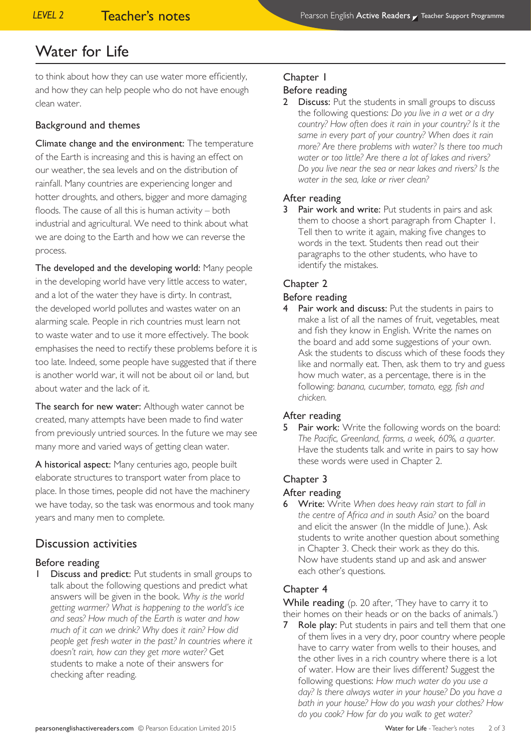to think about how they can use water more efficiently, and how they can help people who do not have enough clean water.

### Background and themes

Climate change and the environment: The temperature of the Earth is increasing and this is having an effect on our weather, the sea levels and on the distribution of rainfall. Many countries are experiencing longer and hotter droughts, and others, bigger and more damaging floods. The cause of all this is human activity – both industrial and agricultural. We need to think about what we are doing to the Earth and how we can reverse the process.

The developed and the developing world: Many people in the developing world have very little access to water, and a lot of the water they have is dirty. In contrast, the developed world pollutes and wastes water on an alarming scale. People in rich countries must learn not to waste water and to use it more effectively. The book emphasises the need to rectify these problems before it is too late. Indeed, some people have suggested that if there is another world war, it will not be about oil or land, but about water and the lack of it.

The search for new water: Although water cannot be created, many attempts have been made to find water from previously untried sources. In the future we may see many more and varied ways of getting clean water.

A historical aspect: Many centuries ago, people built elaborate structures to transport water from place to place. In those times, people did not have the machinery we have today, so the task was enormous and took many years and many men to complete.

## Discussion activities

### Before reading

Discuss and predict: Put students in small groups to talk about the following questions and predict what answers will be given in the book. *Why is the world getting warmer? What is happening to the world's ice and seas? How much of the Earth is water and how much of it can we drink? Why does it rain? How did people get fresh water in the past? In countries where it doesn't rain, how can they get more water?* Get students to make a note of their answers for checking after reading.

## Chapter 1

#### Before reading

2 Discuss: Put the students in small groups to discuss the following questions: *Do you live in a wet or a dry country? How often does it rain in your country? Is it the same in every part of your country? When does it rain more? Are there problems with water? Is there too much water or too little? Are there a lot of lakes and rivers? Do you live near the sea or near lakes and rivers? Is the water in the sea, lake or river clean?*

#### After reading

Pair work and write: Put students in pairs and ask them to choose a short paragraph from Chapter 1. Tell then to write it again, making five changes to words in the text. Students then read out their paragraphs to the other students, who have to identify the mistakes.

## Chapter 2

#### Before reading

Pair work and discuss: Put the students in pairs to make a list of all the names of fruit, vegetables, meat and fish they know in English. Write the names on the board and add some suggestions of your own. Ask the students to discuss which of these foods they like and normally eat. Then, ask them to try and guess how much water, as a percentage, there is in the following: *banana, cucumber, tomato, egg, fish and chicken.*

### After reading

5 Pair work: Write the following words on the board: *The Pacific, Greenland, farms, a week, 60%, a quarter.* Have the students talk and write in pairs to say how these words were used in Chapter 2.

### Chapter 3

#### After reading

6 Write: Write *When does heavy rain start to fall in the centre of Africa and in south Asia?* on the board and elicit the answer (In the middle of June.). Ask students to write another question about something in Chapter 3. Check their work as they do this. Now have students stand up and ask and answer each other's questions.

### Chapter 4

While reading (p. 20 after, 'They have to carry it to their homes on their heads or on the backs of animals.')

**7** Role play: Put students in pairs and tell them that one of them lives in a very dry, poor country where people have to carry water from wells to their houses, and the other lives in a rich country where there is a lot of water. How are their lives different? Suggest the following questions: *How much water do you use a day? Is there always water in your house? Do you have a bath in your house? How do you wash your clothes? How do you cook? How far do you walk to get water?*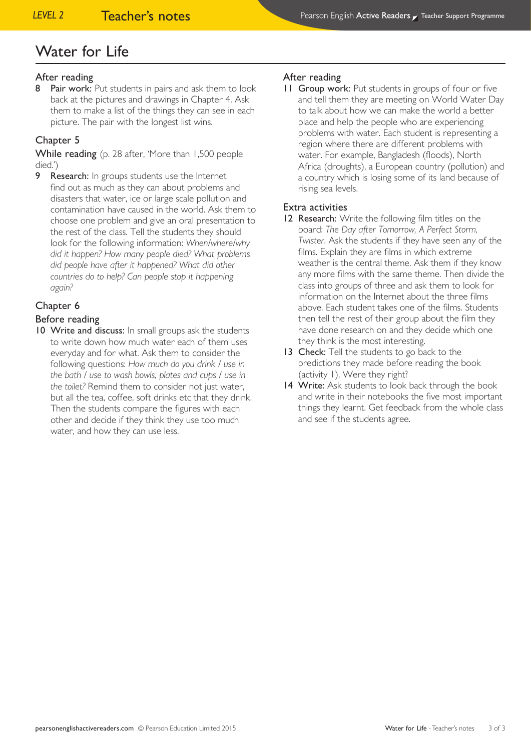#### After reading

8 Pair work: Put students in pairs and ask them to look back at the pictures and drawings in Chapter 4. Ask them to make a list of the things they can see in each picture. The pair with the longest list wins.

#### Chapter 5

While reading (p. 28 after, 'More than 1,500 people died.')

**9** Research: In groups students use the Internet find out as much as they can about problems and disasters that water, ice or large scale pollution and contamination have caused in the world. Ask them to choose one problem and give an oral presentation to the rest of the class. Tell the students they should look for the following information: *When/where/why did it happen? How many people died? What problems did people have after it happened? What did other countries do to help? Can people stop it happening again?*

#### Chapter 6

#### Before reading

10 Write and discuss: In small groups ask the students to write down how much water each of them uses everyday and for what. Ask them to consider the following questions: *How much do you drink / use in the bath / use to wash bowls, plates and cups / use in the toilet?* Remind them to consider not just water, but all the tea, coffee, soft drinks etc that they drink. Then the students compare the figures with each other and decide if they think they use too much water, and how they can use less.

#### After reading

11 Group work: Put students in groups of four or five and tell them they are meeting on World Water Day to talk about how we can make the world a better place and help the people who are experiencing problems with water. Each student is representing a region where there are different problems with water. For example, Bangladesh (floods), North Africa (droughts), a European country (pollution) and a country which is losing some of its land because of rising sea levels.

#### Extra activities

- 12 Research: Write the following film titles on the board: *The Day after Tomorrow, A Perfect Storm, Twister*. Ask the students if they have seen any of the films. Explain they are films in which extreme weather is the central theme. Ask them if they know any more films with the same theme. Then divide the class into groups of three and ask them to look for information on the Internet about the three films above. Each student takes one of the films. Students then tell the rest of their group about the film they have done research on and they decide which one they think is the most interesting.
- 13 Check: Tell the students to go back to the predictions they made before reading the book (activity 1). Were they right?
- 14 Write: Ask students to look back through the book and write in their notebooks the five most important things they learnt. Get feedback from the whole class and see if the students agree.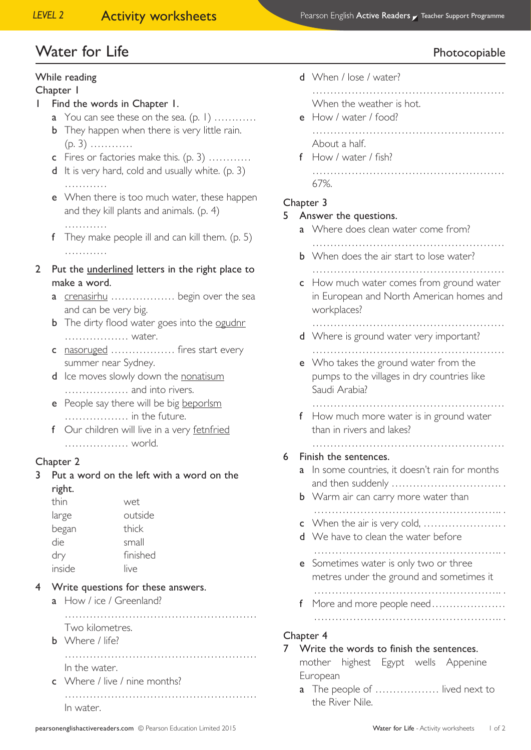# Water for Life **Photocopiable**

## While reading

#### Chapter 1

- 1 Find the words in Chapter 1.
	- a You can see these on the sea.  $(p, 1)$  ...........
	- **b** They happen when there is very little rain. (p. 3) …………
	- c Fires or factories make this. (p. 3) …………
	- d It is very hard, cold and usually white. (p. 3)
	- **e** When there is too much water, these happen and they kill plants and animals. (p. 4)
		- …………

…………

- f They make people ill and can kill them. (p. 5) ……………
- 2 Put the underlined letters in the right place to make a word.
	- a crenasirhu ……………… begin over the sea and can be very big.
	- **b** The dirty flood water goes into the ogudnr ……………… water.
	- c nasoruged ……………… fires start every summer near Sydney.
	- d Ice moves slowly down the nonatisum ……………… and into rivers.
	- e People say there will be big beporlsm ……………… in the future.
	- f Our children will live in a very fetnfried ……………… world.

## Chapter 2

3 Put a word on the left with a word on the right.

| thin   | wet      |
|--------|----------|
| large  | outside  |
| began  | thick    |
| die    | small    |
| dry    | finished |
| inside | live     |

- 4 Write questions for these answers.
	- a How / ice / Greenland?
	- ……………………………………………… Two kilometres. **b** Where / life? ……………………………………………… In the water.
	- c Where / live / nine months?
		- ……………………………………………… In water.
			-

d When / lose / water?

 ……………………………………………… When the weather is hot.

- e How / water / food?
	- ……………………………………………… About a half.
- f How / water / fish? ……………………………………………… 67%.
- Chapter 3

#### 5 Answer the questions.

- a Where does clean water come from?
- ……………………………………………… **b** When does the air start to lose water? ………………………………………………
- c How much water comes from ground water in European and North American homes and workplaces?

………………………………………………

- d Where is ground water very important? ………………………………………………
- e Who takes the ground water from the pumps to the villages in dry countries like Saudi Arabia?

………………………………………………

f How much more water is in ground water than in rivers and lakes?

#### ……………………………………………… 6 Finish the sentences.

- a In some countries, it doesn't rain for months and then suddenly …………………………. .
- **b** Warm air can carry more water than
- …………………………………………….. . c When the air is very cold, …………………. .
- d We have to clean the water before …………………………………………….. .
- e Sometimes water is only two or three metres under the ground and sometimes it
- f More and more people need………………… …………………………………………….. .

…………………………………………….. .

#### Chapter 4

#### 7 Write the words to finish the sentences.

mother highest Egypt wells Appenine European

a The people of ................... lived next to the River Nile.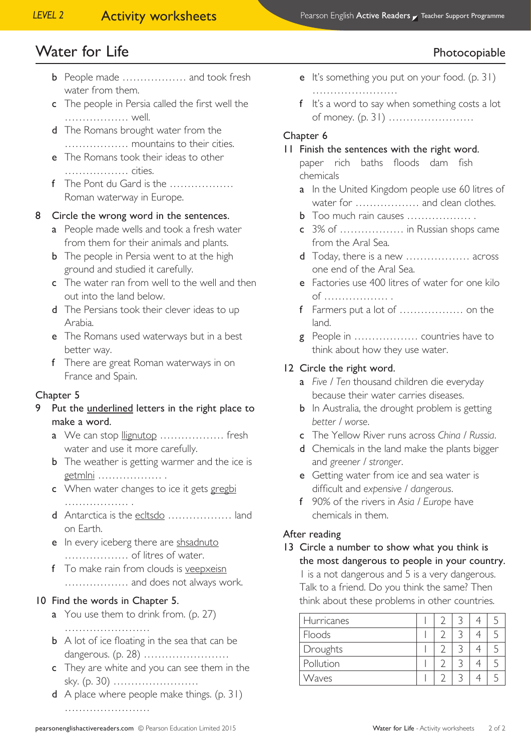# Water for Life **Photocopiable**

- **b** People made ………………… and took fresh water from them.
- c The people in Persia called the first well the ……………… well.
- d The Romans brought water from the ……………… mountains to their cities.
- e The Romans took their ideas to other ……………… cities.
- f The Pont du Gard is the ……………… Roman waterway in Europe.

## 8 Circle the wrong word in the sentences.

- a People made wells and took a fresh water from them for their animals and plants.
- **b** The people in Persia went to at the high ground and studied it carefully.
- c The water ran from well to the well and then out into the land below.
- d The Persians took their clever ideas to up Arabia.
- e The Romans used waterways but in a best better way.
- f There are great Roman waterways in on France and Spain.

### Chapter 5

- 9 Put the underlined letters in the right place to make a word.
	- a We can stop llignutop ................... fresh water and use it more carefully.
	- **b** The weather is getting warmer and the ice is getmlni ………………
	- c When water changes to ice it gets gregbi ……………… .
	- d Antarctica is the ecltsdo ................... land on Earth.
	- e In every iceberg there are shsadnuto ……………… of litres of water.
	- f To make rain from clouds is veepxeisn ……………… and does not always work.

### 10 Find the words in Chapter 5.

- a You use them to drink from. (p. 27) ……………………
- **b** A lot of ice floating in the sea that can be dangerous. (p. 28) ……………………
- c They are white and you can see them in the sky. (p. 30) ……………………
- d A place where people make things. (p. 31) ……………………
- e It's something you put on your food. (p. 31) ……………………
- f It's a word to say when something costs a lot of money. (p. 31) ……………………

## Chapter 6

## 11 Finish the sentences with the right word.

- paper rich baths floods dam fish chemicals
- a In the United Kingdom people use 60 litres of water for ……………… and clean clothes.
- b Too much rain causes ……………… .
- c 3% of ……………… in Russian shops came from the Aral Sea.
- d Today, there is a new ……………… across one end of the Aral Sea.
- e Factories use 400 litres of water for one kilo of ……………… .
- f Farmers put a lot of ……………… on the land.
- g People in ……………… countries have to think about how they use water.

## 12 Circle the right word.

- a *Five / Ten* thousand children die everyday because their water carries diseases.
- **b** In Australia, the drought problem is getting *better / worse*.
- c The Yellow River runs across *China / Russia*.
- d Chemicals in the land make the plants bigger and *greener / stronger*.
- e Getting water from ice and sea water is difficult and *expensive / dangerous*.
- f 90% of the rivers in *Asia / Europe* have chemicals in them.

### After reading

13 Circle a number to show what you think is the most dangerous to people in your country. 1 is a not dangerous and 5 is a very dangerous. Talk to a friend. Do you think the same? Then think about these problems in other countries.

| <b>Hurricanes</b> |  |  |  |
|-------------------|--|--|--|
| Floods            |  |  |  |
| Droughts          |  |  |  |
| Pollution         |  |  |  |
| Waves             |  |  |  |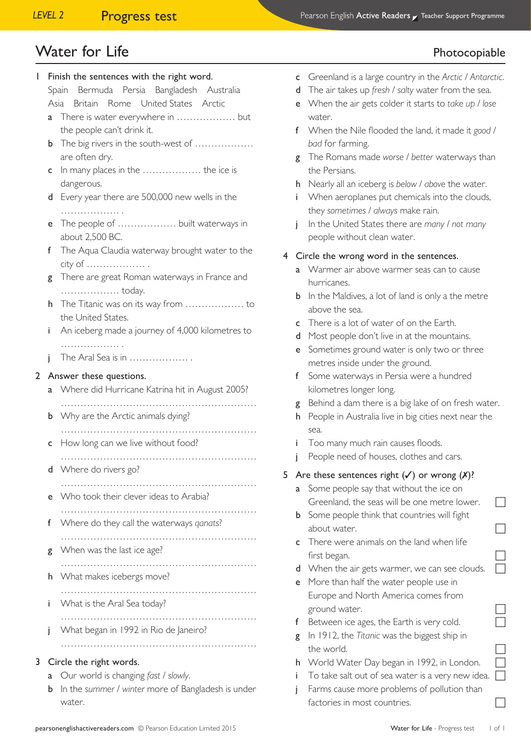# Water for Life **Photocopiable**

| I |                                                    | Finish the sentences with the right word.<br>Bermuda Persia Bangladesh Australia |  |  |  |
|---|----------------------------------------------------|----------------------------------------------------------------------------------|--|--|--|
|   | Spain<br>Asia<br>Britain Rome United States Arctic |                                                                                  |  |  |  |
|   | a                                                  | the people can't drink it.                                                       |  |  |  |
|   | b                                                  | The big rivers in the south-west of<br>are often dry.                            |  |  |  |
|   | c                                                  | In many places in the  the ice is<br>dangerous.                                  |  |  |  |
|   | d                                                  | Every year there are 500,000 new wells in the                                    |  |  |  |
|   | e                                                  | The people of  built waterways in<br>about 2,500 BC.                             |  |  |  |
|   | f                                                  | The Aqua Claudia waterway brought water to the<br>city of                        |  |  |  |
|   | g                                                  | There are great Roman waterways in France and<br>today.                          |  |  |  |
|   | h.                                                 | the United States.                                                               |  |  |  |
|   | i.                                                 | An iceberg made a journey of 4,000 kilometres to                                 |  |  |  |
|   | İ                                                  | .<br>The Aral Sea is in                                                          |  |  |  |
| 2 |                                                    | Answer these questions.                                                          |  |  |  |
|   | a                                                  | Where did Hurricane Katrina hit in August 2005?                                  |  |  |  |
|   | b                                                  | Why are the Arctic animals dying?                                                |  |  |  |
|   | c                                                  | How long can we live without food?                                               |  |  |  |
|   | d                                                  | Where do rivers go?                                                              |  |  |  |
|   | e                                                  | Who took their clever ideas to Arabia?<br>.                                      |  |  |  |
|   | f                                                  | Where do they call the waterways qanats?                                         |  |  |  |
|   | g                                                  | When was the last ice age?                                                       |  |  |  |
|   | h                                                  | What makes icebergs move?                                                        |  |  |  |
|   | Ĺ                                                  | What is the Aral Sea today?                                                      |  |  |  |
|   |                                                    | What began in 1992 in Rio de Janeiro?                                            |  |  |  |
|   | j                                                  |                                                                                  |  |  |  |
| 3 |                                                    | Circle the right words.                                                          |  |  |  |
|   | Our world is changing fast / slowly.               |                                                                                  |  |  |  |
|   | b                                                  | In the summer / winter more of Bangladesh is under                               |  |  |  |
|   |                                                    | water.                                                                           |  |  |  |

- d The air takes up *fresh* / *salty* water from the sea.
- e When the air gets colder it starts to *take up* / *lose* water.
- f When the Nile flooded the land, it made it *good* / *bad* for farming.
- g The Romans made *worse* / *better* waterways than the Persians.
- h Nearly all an iceberg is *below* / *above* the water.
- i When aeroplanes put chemicals into the clouds, they *sometimes* / *always* make rain.
- j In the United States there are *many* / *not many* people without clean water.

#### 4 Circle the wrong word in the sentences.

- **a** Warmer air above warmer seas can to cause hurricanes.
- **b** In the Maldives, a lot of land is only a the metre above the sea.
- c There is a lot of water of on the Earth.
- d Most people don't live in at the mountains.
- e Sometimes ground water is only two or three metres inside under the ground.
- f Some waterways in Persia were a hundred kilometres longer long.
- g Behind a dam there is a big lake of on fresh water.
- h People in Australia live in big cities next near the sea.
- i Too many much rain causes floods.
- People need of houses, clothes and cars.

## 5 Are these sentences right  $(\checkmark)$  or wrong  $(\checkmark)$ ?

- a Some people say that without the ice on Greenland, the seas will be one metre lower.
- **b** Some people think that countries will fight about water.
- c There were animals on the land when life first began.
- d When the air gets warmer, we can see clouds.
- e More than half the water people use in Europe and North America comes from ground water.
- f Between ice ages, the Earth is very cold.
- g In 1912, the *Titanic* was the biggest ship in the world.
- h World Water Day began in 1992, in London.
- To take salt out of sea water is a very new idea.
- Farms cause more problems of pollution than factories in most countries.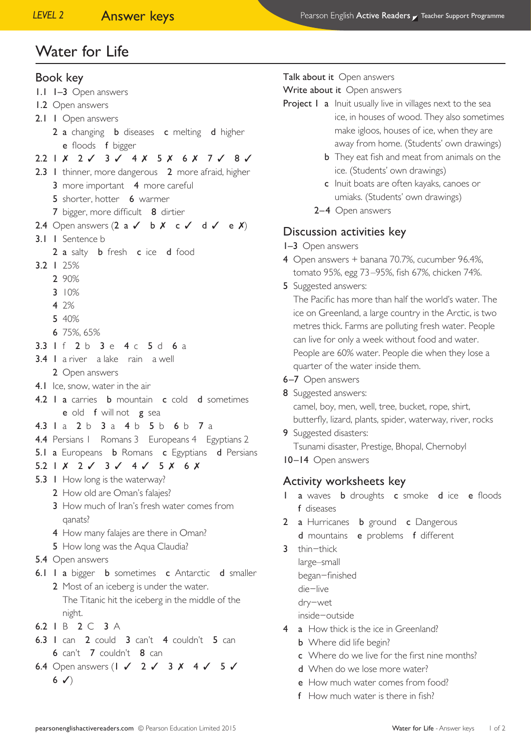## Book key

- 1.1 1–3 Open answers
- 1.2 Open answers
- 2.1 1 Open answers
	- 2 a changing **b** diseases **c** melting **d** higher e floods f bigger

## 2.2 1 *X* 2 √ 3 √ 4 *X* 5 *X* 6 *X* 7 √ 8 √

- 2.3 1 thinner, more dangerous 2 more afraid, higher 3 more important 4 more careful
	- 5 shorter, hotter 6 warmer
	- 7 bigger, more difficult 8 dirtier
- 2.4 Open answers  $(2 \text{ a } 6 \text{ b } 8 \text{ c } 6 \text{ d } 6 \text{ c } 8)$
- 3.1 1 Sentence b
	- 2 a salty **b** fresh **c** ice **d** food
- 3.2 1 25%
	- 2 90%
	- 3 10%
	- 4 2%
	- 5 40%
	- 6 75%, 65%
- 3.3 1 f 2 b 3 e 4 c 5 d 6 a
- 3.4 1 a river a lake rain a well
- 2 Open answers
- 4.1 Ice, snow, water in the air
- 4.2 I a carries **b** mountain **c** cold **d** sometimes e old f will not g sea
- 4.3 1 a 2 b 3 a 4 b 5 b 6 b 7 a
- 4.4 Persians I Romans 3 Europeans 4 Egyptians 2
- 5.1 a Europeans **b** Romans **c** Egyptians **d** Persians
- 5.2 1 ✗ 2 ✓ 3 ✓ 4 ✓ 5 ✗ 6 ✗
- 5.3 I How long is the waterway?
	- 2 How old are Oman's falajes?
	- 3 How much of Iran's fresh water comes from qanats?
	- 4 How many falajes are there in Oman?
	- 5 How long was the Aqua Claudia?
- 5.4 Open answers
- 6.1 I a bigger **b** sometimes **c** Antarctic **d** smaller
	- 2 Most of an iceberg is under the water. The Titanic hit the iceberg in the middle of the night.
- 6.2 1 B 2 C 3 A
- 6.3 1 can 2 could 3 can't 4 couldn't 5 can 6 can't 7 couldn't 8 can
- 6.4 Open answers ( $1 \times 2 \times 3 \times 4 \times 5 \times$  $6 \sqrt{ }$

### Talk about it Open answers

Write about it Open answers

- Project I a Inuit usually live in villages next to the sea ice, in houses of wood. They also sometimes make igloos, houses of ice, when they are away from home. (Students' own drawings)
	- **b** They eat fish and meat from animals on the ice. (Students' own drawings)
	- c Inuit boats are often kayaks, canoes or umiaks. (Students' own drawings)
	- 2–4 Open answers

# Discussion activities key

- 1–3 Open answers
- 4 Open answers + banana 70.7%, cucumber 96.4%, tomato 95%, egg 73–95%, fish 67%, chicken 74%.
- 5 Suggested answers:

The Pacific has more than half the world's water. The ice on Greenland, a large country in the Arctic, is two metres thick. Farms are polluting fresh water. People can live for only a week without food and water. People are 60% water. People die when they lose a quarter of the water inside them.

- 6–7 Open answers
- 8 Suggested answers: camel, boy, men, well, tree, bucket, rope, shirt, butterfly, lizard, plants, spider, waterway, river, rocks
- 9 Suggested disasters: Tsunami disaster, Prestige, Bhopal, Chernobyl
- 10–14 Open answers

# Activity worksheets key

- I a waves **b** droughts **c** smoke **d** ice **e** floods f diseases
- 2 a Hurricanes **b** ground **c** Dangerous
	- d mountains e problems f different
- 3 thin−thick large–small
	- began−finished
	-
	- die−live
	- dry−wet
	- inside−outside
- 4 a How thick is the ice in Greenland?
	- **b** Where did life begin?
	- c Where do we live for the first nine months?
	- d When do we lose more water?
	- e How much water comes from food?
	- f How much water is there in fish?